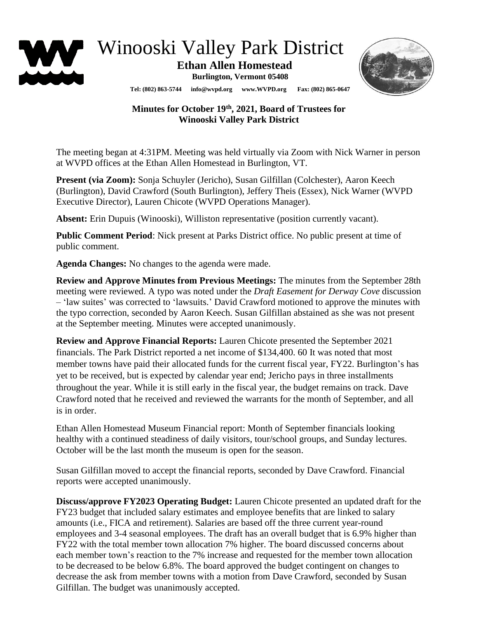

Winooski Valley Park District

 **Ethan Allen Homestead**

**Burlington, Vermont 05408**



**Tel: (802) 863-5744 info@wvpd.org [www.WVPD.org](http://www.wvpd.org/) Fax: (802) 865-0647** 

## **Minutes for October 19th , 2021, Board of Trustees for Winooski Valley Park District**

The meeting began at 4:31PM. Meeting was held virtually via Zoom with Nick Warner in person at WVPD offices at the Ethan Allen Homestead in Burlington, VT.

**Present (via Zoom):** Sonja Schuyler (Jericho), Susan Gilfillan (Colchester), Aaron Keech (Burlington), David Crawford (South Burlington), Jeffery Theis (Essex), Nick Warner (WVPD Executive Director), Lauren Chicote (WVPD Operations Manager).

**Absent:** Erin Dupuis (Winooski), Williston representative (position currently vacant).

**Public Comment Period**: Nick present at Parks District office. No public present at time of public comment.

**Agenda Changes:** No changes to the agenda were made.

**Review and Approve Minutes from Previous Meetings:** The minutes from the September 28th meeting were reviewed. A typo was noted under the *Draft Easement for Derway Cove* discussion – 'law suites' was corrected to 'lawsuits.' David Crawford motioned to approve the minutes with the typo correction, seconded by Aaron Keech. Susan Gilfillan abstained as she was not present at the September meeting. Minutes were accepted unanimously.

**Review and Approve Financial Reports:** Lauren Chicote presented the September 2021 financials. The Park District reported a net income of \$134,400. 60 It was noted that most member towns have paid their allocated funds for the current fiscal year, FY22. Burlington's has yet to be received, but is expected by calendar year end; Jericho pays in three installments throughout the year. While it is still early in the fiscal year, the budget remains on track. Dave Crawford noted that he received and reviewed the warrants for the month of September, and all is in order.

Ethan Allen Homestead Museum Financial report: Month of September financials looking healthy with a continued steadiness of daily visitors, tour/school groups, and Sunday lectures. October will be the last month the museum is open for the season.

Susan Gilfillan moved to accept the financial reports, seconded by Dave Crawford. Financial reports were accepted unanimously.

**Discuss/approve FY2023 Operating Budget:** Lauren Chicote presented an updated draft for the FY23 budget that included salary estimates and employee benefits that are linked to salary amounts (i.e., FICA and retirement). Salaries are based off the three current year-round employees and 3-4 seasonal employees. The draft has an overall budget that is 6.9% higher than FY22 with the total member town allocation 7% higher. The board discussed concerns about each member town's reaction to the 7% increase and requested for the member town allocation to be decreased to be below 6.8%. The board approved the budget contingent on changes to decrease the ask from member towns with a motion from Dave Crawford, seconded by Susan Gilfillan. The budget was unanimously accepted.